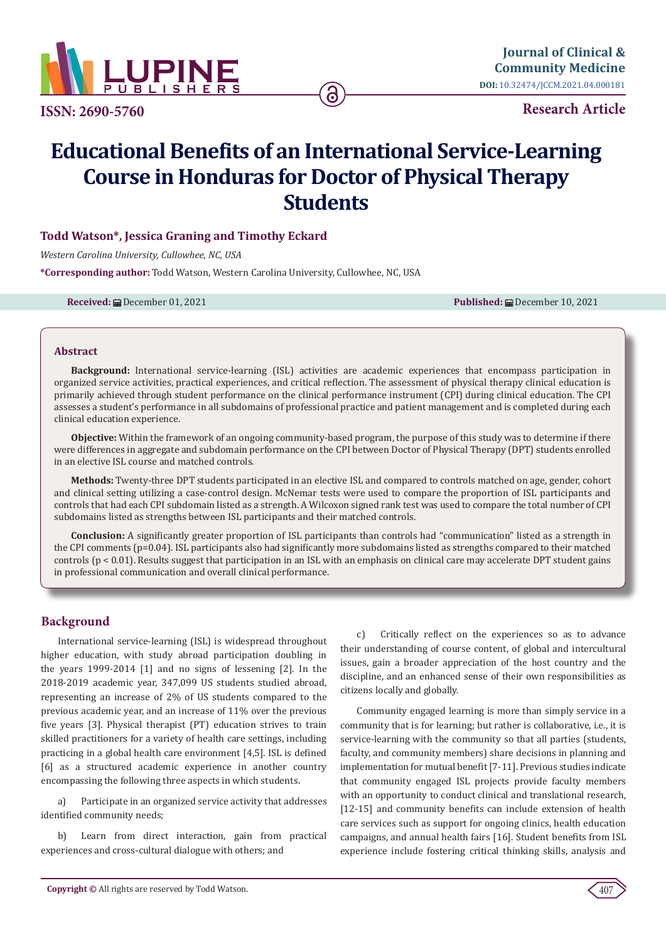

**ISSN: 2690-5760**

**Research Article**

# **Educational Benefits of an International Service-Learning Course in Honduras for Doctor of Physical Therapy Students**

# **Todd Watson\*, Jessica Graning and Timothy Eckard**

*Western Carolina University, Cullowhee, NC, USA*

**\*Corresponding author:** Todd Watson, Western Carolina University, Cullowhee, NC, USA

**Received:** December 01, 2021 **Published:** December 10, 2021

#### **Abstract**

**Background:** International service-learning (ISL) activities are academic experiences that encompass participation in organized service activities, practical experiences, and critical reflection. The assessment of physical therapy clinical education is primarily achieved through student performance on the clinical performance instrument (CPI) during clinical education. The CPI assesses a student's performance in all subdomains of professional practice and patient management and is completed during each clinical education experience.

**Objective:** Within the framework of an ongoing community-based program, the purpose of this study was to determine if there were differences in aggregate and subdomain performance on the CPI between Doctor of Physical Therapy (DPT) students enrolled in an elective ISL course and matched controls.

**Methods:** Twenty-three DPT students participated in an elective ISL and compared to controls matched on age, gender, cohort and clinical setting utilizing a case-control design. McNemar tests were used to compare the proportion of ISL participants and controls that had each CPI subdomain listed as a strength. A Wilcoxon signed rank test was used to compare the total number of CPI subdomains listed as strengths between ISL participants and their matched controls.

**Conclusion:** A significantly greater proportion of ISL participants than controls had "communication" listed as a strength in the CPI comments (p=0.04). ISL participants also had significantly more subdomains listed as strengths compared to their matched controls (p < 0.01). Results suggest that participation in an ISL with an emphasis on clinical care may accelerate DPT student gains in professional communication and overall clinical performance.

# **Background**

International service-learning (ISL) is widespread throughout higher education, with study abroad participation doubling in the years 1999-2014 [1] and no signs of lessening [2]. In the 2018-2019 academic year, 347,099 US students studied abroad, representing an increase of 2% of US students compared to the previous academic year, and an increase of 11% over the previous five years [3]. Physical therapist (PT) education strives to train skilled practitioners for a variety of health care settings, including practicing in a global health care environment [4,5]. ISL is defined [6] as a structured academic experience in another country encompassing the following three aspects in which students.

a) Participate in an organized service activity that addresses identified community needs;

b) Learn from direct interaction, gain from practical experiences and cross-cultural dialogue with others; and

c) Critically reflect on the experiences so as to advance their understanding of course content, of global and intercultural issues, gain a broader appreciation of the host country and the discipline, and an enhanced sense of their own responsibilities as citizens locally and globally.

Community engaged learning is more than simply service in a community that is for learning; but rather is collaborative, i.e., it is service-learning with the community so that all parties (students, faculty, and community members) share decisions in planning and implementation for mutual benefit [7-11]. Previous studies indicate that community engaged ISL projects provide faculty members with an opportunity to conduct clinical and translational research, [12-15] and community benefits can include extension of health care services such as support for ongoing clinics, health education campaigns, and annual health fairs [16]. Student benefits from ISL experience include fostering critical thinking skills, analysis and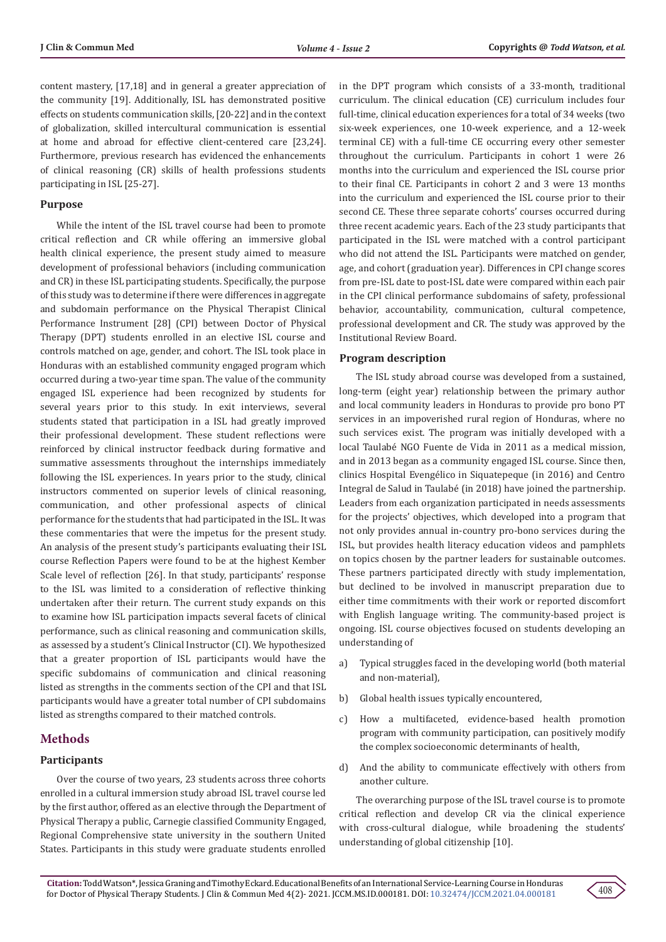content mastery, [17,18] and in general a greater appreciation of the community [19]. Additionally, ISL has demonstrated positive effects on students communication skills, [20-22] and in the context of globalization, skilled intercultural communication is essential at home and abroad for effective client-centered care [23,24]. Furthermore, previous research has evidenced the enhancements of clinical reasoning (CR) skills of health professions students participating in ISL [25-27].

#### **Purpose**

While the intent of the ISL travel course had been to promote critical reflection and CR while offering an immersive global health clinical experience, the present study aimed to measure development of professional behaviors (including communication and CR) in these ISL participating students. Specifically, the purpose of this study was to determine if there were differences in aggregate and subdomain performance on the Physical Therapist Clinical Performance Instrument [28] (CPI) between Doctor of Physical Therapy (DPT) students enrolled in an elective ISL course and controls matched on age, gender, and cohort. The ISL took place in Honduras with an established community engaged program which occurred during a two-year time span. The value of the community engaged ISL experience had been recognized by students for several years prior to this study. In exit interviews, several students stated that participation in a ISL had greatly improved their professional development. These student reflections were reinforced by clinical instructor feedback during formative and summative assessments throughout the internships immediately following the ISL experiences. In years prior to the study, clinical instructors commented on superior levels of clinical reasoning, communication, and other professional aspects of clinical performance for the students that had participated in the ISL. It was these commentaries that were the impetus for the present study. An analysis of the present study's participants evaluating their ISL course Reflection Papers were found to be at the highest Kember Scale level of reflection [26]. In that study, participants' response to the ISL was limited to a consideration of reflective thinking undertaken after their return. The current study expands on this to examine how ISL participation impacts several facets of clinical performance, such as clinical reasoning and communication skills, as assessed by a student's Clinical Instructor (CI). We hypothesized that a greater proportion of ISL participants would have the specific subdomains of communication and clinical reasoning listed as strengths in the comments section of the CPI and that ISL participants would have a greater total number of CPI subdomains listed as strengths compared to their matched controls.

## **Methods**

#### **Participants**

Over the course of two years, 23 students across three cohorts enrolled in a cultural immersion study abroad ISL travel course led by the first author, offered as an elective through the Department of Physical Therapy a public, Carnegie classified Community Engaged, Regional Comprehensive state university in the southern United States. Participants in this study were graduate students enrolled

in the DPT program which consists of a 33-month, traditional curriculum. The clinical education (CE) curriculum includes four full-time, clinical education experiences for a total of 34 weeks (two six-week experiences, one 10-week experience, and a 12-week terminal CE) with a full-time CE occurring every other semester throughout the curriculum. Participants in cohort 1 were 26 months into the curriculum and experienced the ISL course prior to their final CE. Participants in cohort 2 and 3 were 13 months into the curriculum and experienced the ISL course prior to their second CE. These three separate cohorts' courses occurred during three recent academic years. Each of the 23 study participants that participated in the ISL were matched with a control participant who did not attend the ISL. Participants were matched on gender, age, and cohort (graduation year). Differences in CPI change scores from pre-ISL date to post-ISL date were compared within each pair in the CPI clinical performance subdomains of safety, professional behavior, accountability, communication, cultural competence, professional development and CR. The study was approved by the Institutional Review Board.

#### **Program description**

The ISL study abroad course was developed from a sustained, long-term (eight year) relationship between the primary author and local community leaders in Honduras to provide pro bono PT services in an impoverished rural region of Honduras, where no such services exist. The program was initially developed with a local Taulabé NGO Fuente de Vida in 2011 as a medical mission, and in 2013 began as a community engaged ISL course. Since then, clinics Hospital Evengélico in Siquatepeque (in 2016) and Centro Integral de Salud in Taulabé (in 2018) have joined the partnership. Leaders from each organization participated in needs assessments for the projects' objectives, which developed into a program that not only provides annual in-country pro-bono services during the ISL, but provides health literacy education videos and pamphlets on topics chosen by the partner leaders for sustainable outcomes. These partners participated directly with study implementation, but declined to be involved in manuscript preparation due to either time commitments with their work or reported discomfort with English language writing. The community-based project is ongoing. ISL course objectives focused on students developing an understanding of

- a) Typical struggles faced in the developing world (both material and non-material),
- b) Global health issues typically encountered,
- c) How a multifaceted, evidence-based health promotion program with community participation, can positively modify the complex socioeconomic determinants of health,
- d) And the ability to communicate effectively with others from another culture.

The overarching purpose of the ISL travel course is to promote critical reflection and develop CR via the clinical experience with cross-cultural dialogue, while broadening the students' understanding of global citizenship [10].

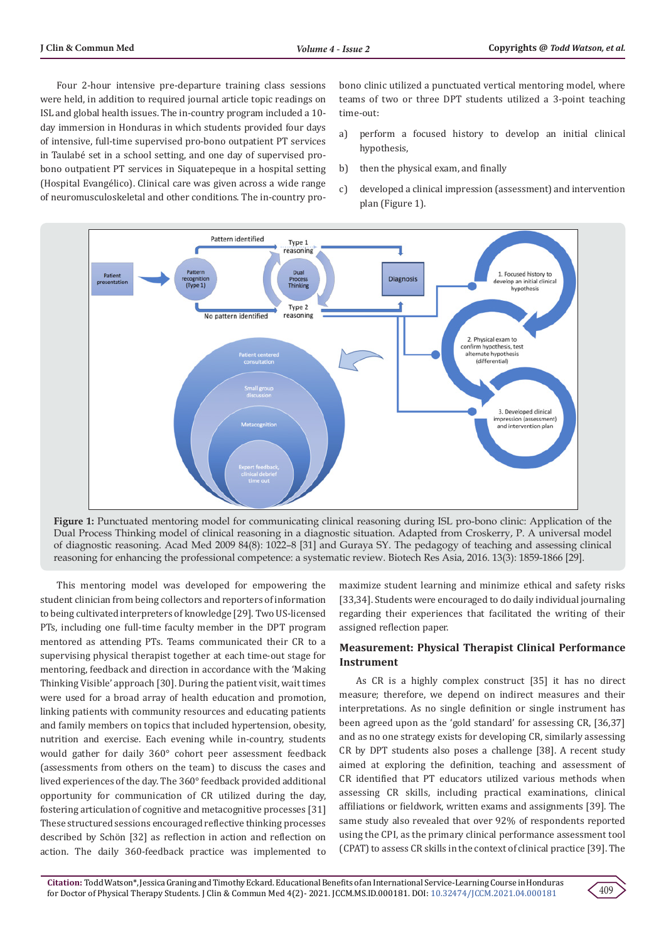Four 2-hour intensive pre-departure training class sessions were held, in addition to required journal article topic readings on ISL and global health issues. The in-country program included a 10 day immersion in Honduras in which students provided four days of intensive, full-time supervised pro-bono outpatient PT services in Taulabé set in a school setting, and one day of supervised probono outpatient PT services in Siquatepeque in a hospital setting (Hospital Evangélico). Clinical care was given across a wide range of neuromusculoskeletal and other conditions. The in-country probono clinic utilized a punctuated vertical mentoring model, where teams of two or three DPT students utilized a 3-point teaching time-out:

- a) perform a focused history to develop an initial clinical hypothesis,
- b) then the physical exam, and finally
- c) developed a clinical impression (assessment) and intervention plan (Figure 1).





This mentoring model was developed for empowering the student clinician from being collectors and reporters of information to being cultivated interpreters of knowledge [29]. Two US-licensed PTs, including one full-time faculty member in the DPT program mentored as attending PTs. Teams communicated their CR to a supervising physical therapist together at each time-out stage for mentoring, feedback and direction in accordance with the 'Making Thinking Visible' approach [30]. During the patient visit, wait times were used for a broad array of health education and promotion, linking patients with community resources and educating patients and family members on topics that included hypertension, obesity, nutrition and exercise. Each evening while in-country, students would gather for daily 360° cohort peer assessment feedback (assessments from others on the team) to discuss the cases and lived experiences of the day. The 360° feedback provided additional opportunity for communication of CR utilized during the day, fostering articulation of cognitive and metacognitive processes [31] These structured sessions encouraged reflective thinking processes described by Schön [32] as reflection in action and reflection on action. The daily 360-feedback practice was implemented to

maximize student learning and minimize ethical and safety risks [33,34]. Students were encouraged to do daily individual journaling regarding their experiences that facilitated the writing of their assigned reflection paper.

# **Measurement: Physical Therapist Clinical Performance Instrument**

As CR is a highly complex construct [35] it has no direct measure; therefore, we depend on indirect measures and their interpretations. As no single definition or single instrument has been agreed upon as the 'gold standard' for assessing CR, [36,37] and as no one strategy exists for developing CR, similarly assessing CR by DPT students also poses a challenge [38]. A recent study aimed at exploring the definition, teaching and assessment of CR identified that PT educators utilized various methods when assessing CR skills, including practical examinations, clinical affiliations or fieldwork, written exams and assignments [39]. The same study also revealed that over 92% of respondents reported using the CPI, as the primary clinical performance assessment tool (CPAT) to assess CR skills in the context of clinical practice [39]. The

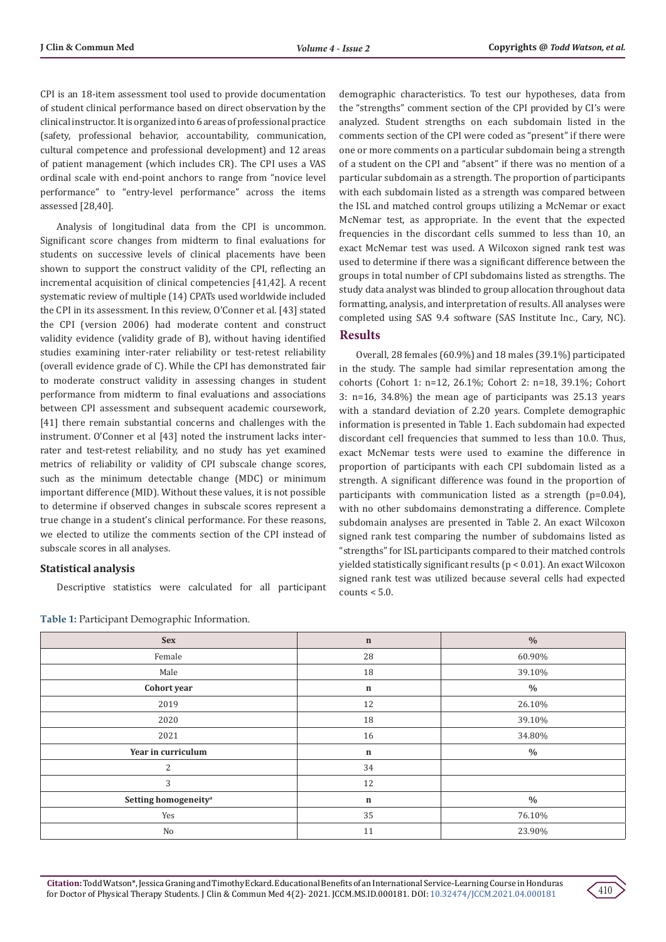CPI is an 18-item assessment tool used to provide documentation of student clinical performance based on direct observation by the clinical instructor. It is organized into 6 areas of professional practice (safety, professional behavior, accountability, communication, cultural competence and professional development) and 12 areas of patient management (which includes CR). The CPI uses a VAS ordinal scale with end-point anchors to range from "novice level performance" to "entry-level performance" across the items assessed [28,40].

Analysis of longitudinal data from the CPI is uncommon. Significant score changes from midterm to final evaluations for students on successive levels of clinical placements have been shown to support the construct validity of the CPI, reflecting an incremental acquisition of clinical competencies [41,42]. A recent systematic review of multiple (14) CPATs used worldwide included the CPI in its assessment. In this review, O'Conner et al. [43] stated the CPI (version 2006) had moderate content and construct validity evidence (validity grade of B), without having identified studies examining inter-rater reliability or test-retest reliability (overall evidence grade of C). While the CPI has demonstrated fair to moderate construct validity in assessing changes in student performance from midterm to final evaluations and associations between CPI assessment and subsequent academic coursework, [41] there remain substantial concerns and challenges with the instrument. O'Conner et al [43] noted the instrument lacks interrater and test-retest reliability, and no study has yet examined metrics of reliability or validity of CPI subscale change scores, such as the minimum detectable change (MDC) or minimum important difference (MID). Without these values, it is not possible to determine if observed changes in subscale scores represent a true change in a student's clinical performance. For these reasons, we elected to utilize the comments section of the CPI instead of subscale scores in all analyses.

## **Statistical analysis**

Descriptive statistics were calculated for all participant

| Table 1: Participant Demographic Information. |  |  |
|-----------------------------------------------|--|--|
|-----------------------------------------------|--|--|

demographic characteristics. To test our hypotheses, data from the "strengths" comment section of the CPI provided by CI's were analyzed. Student strengths on each subdomain listed in the comments section of the CPI were coded as "present" if there were one or more comments on a particular subdomain being a strength of a student on the CPI and "absent" if there was no mention of a particular subdomain as a strength. The proportion of participants with each subdomain listed as a strength was compared between the ISL and matched control groups utilizing a McNemar or exact McNemar test, as appropriate. In the event that the expected frequencies in the discordant cells summed to less than 10, an exact McNemar test was used. A Wilcoxon signed rank test was used to determine if there was a significant difference between the groups in total number of CPI subdomains listed as strengths. The study data analyst was blinded to group allocation throughout data formatting, analysis, and interpretation of results. All analyses were completed using SAS 9.4 software (SAS Institute Inc., Cary, NC).

# **Results**

Overall, 28 females (60.9%) and 18 males (39.1%) participated in the study. The sample had similar representation among the cohorts (Cohort 1: n=12, 26.1%; Cohort 2: n=18, 39.1%; Cohort 3: n=16, 34.8%) the mean age of participants was 25.13 years with a standard deviation of 2.20 years. Complete demographic information is presented in Table 1. Each subdomain had expected discordant cell frequencies that summed to less than 10.0. Thus, exact McNemar tests were used to examine the difference in proportion of participants with each CPI subdomain listed as a strength. A significant difference was found in the proportion of participants with communication listed as a strength (p=0.04), with no other subdomains demonstrating a difference. Complete subdomain analyses are presented in Table 2. An exact Wilcoxon signed rank test comparing the number of subdomains listed as "strengths" for ISL participants compared to their matched controls yielded statistically significant results (p < 0.01). An exact Wilcoxon signed rank test was utilized because several cells had expected  $counts < 5.0.$ 

| <b>Sex</b>                       | $\mathbf n$ | $\frac{0}{0}$ |
|----------------------------------|-------------|---------------|
| Female                           | 28          | 60.90%        |
| Male                             | 18          | 39.10%        |
| Cohort year                      | $\mathbf n$ | $\%$          |
| 2019                             | 12          | 26.10%        |
| 2020                             | 18          | 39.10%        |
| 2021                             | 16          | 34.80%        |
| Year in curriculum               | $\mathbf n$ | $\%$          |
| $\overline{2}$                   | 34          |               |
| 3                                | 12          |               |
| Setting homogeneity <sup>a</sup> | $\mathbf n$ | $\frac{0}{0}$ |
| Yes                              | 35          | 76.10%        |
| No                               | 11          | 23.90%        |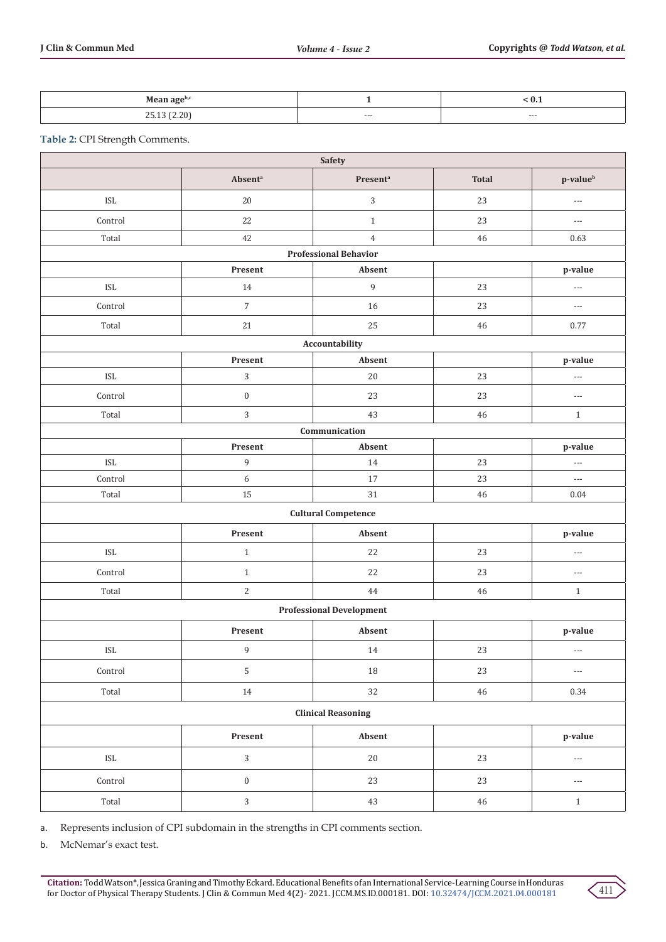| $\rightarrow$ n ago <sup>pe</sup><br>$1.29$ and $\alpha$ |     | $v \cdot r$ |
|----------------------------------------------------------|-----|-------------|
| 12022<br>$\overline{u}$                                  | --- | $--$        |

**Table 2:** CPI Strength Comments.

| Safety                          |                     |                              |              |                          |  |  |
|---------------------------------|---------------------|------------------------------|--------------|--------------------------|--|--|
|                                 | Absent <sup>a</sup> | Present <sup>a</sup>         | <b>Total</b> | p-value <sup>b</sup>     |  |  |
| ISL                             | 20                  | $\sqrt{3}$                   | 23           | $---$                    |  |  |
| Control                         | 22                  | $1\,$                        | 23           | $\hspace{0.05cm} \ldots$ |  |  |
| Total                           | $42\,$              | $\overline{4}$               | 46           | 0.63                     |  |  |
|                                 |                     | <b>Professional Behavior</b> |              |                          |  |  |
|                                 | Present             | Absent                       |              | p-value                  |  |  |
| <b>ISL</b>                      | 14                  | $\,9$                        | 23           | $---$                    |  |  |
| Control                         | $\sqrt{7}$          | 16                           | 23           | $\scriptstyle{\cdots}$ . |  |  |
| Total                           | 21                  | 25                           | 46           | 0.77                     |  |  |
|                                 |                     | Accountability               |              |                          |  |  |
|                                 | Present             | Absent                       |              | p-value                  |  |  |
| ISL                             | $\mathbf{3}$        | $20\,$                       | 23           | $\overline{\phantom{a}}$ |  |  |
| Control                         | $\boldsymbol{0}$    | 23                           | 23           | $\scriptstyle \cdots$    |  |  |
| Total                           | $\mathbf{3}$        | 43                           | 46           | $\mathbf{1}$             |  |  |
|                                 |                     | Communication                |              |                          |  |  |
|                                 | Present             | Absent                       |              | p-value                  |  |  |
| ISL                             | $\boldsymbol{9}$    | $14\,$                       | 23           | $---$                    |  |  |
| Control                         | $\boldsymbol{6}$    | 17                           | 23           | $\overline{\phantom{a}}$ |  |  |
| Total                           | 15                  | 31                           | $\bf 46$     | $0.04\,$                 |  |  |
|                                 |                     | <b>Cultural Competence</b>   |              |                          |  |  |
|                                 | Present             | Absent                       |              | p-value                  |  |  |
| ISL                             | $\mathbf{1}$        | 22                           | 23           | $---$                    |  |  |
| Control                         | $1\,$               | 22                           | 23           | $\scriptstyle \cdots$    |  |  |
| Total                           | $\sqrt{2}$          | 44                           | 46           | $1\,$                    |  |  |
| <b>Professional Development</b> |                     |                              |              |                          |  |  |
|                                 | Present             | Absent                       |              | p-value                  |  |  |
| ISL                             | 9                   | 14                           | 23           | $\hspace{0.05cm} \ldots$ |  |  |
| Control                         | $\mathsf S$         | $18\,$                       | $23\,$       | $\scriptstyle \cdots$    |  |  |
| Total                           | $14\,$              | 32                           | $46\,$       | 0.34                     |  |  |
| <b>Clinical Reasoning</b>       |                     |                              |              |                          |  |  |
| Present<br>Absent<br>p-value    |                     |                              |              |                          |  |  |
| $\sf ISL$                       | $\sqrt{3}$          | $20\,$                       | $23\,$       | $\hspace{0.05cm} \ldots$ |  |  |
| Control                         | $\boldsymbol{0}$    | $23\,$                       | $23\,$       | $\hspace{0.05cm} \ldots$ |  |  |
| Total                           | $\sqrt{3}$          | $43\,$                       | $46\,$       | $\,1\,$                  |  |  |

a. Represents inclusion of CPI subdomain in the strengths in CPI comments section.

b. McNemar's exact test.

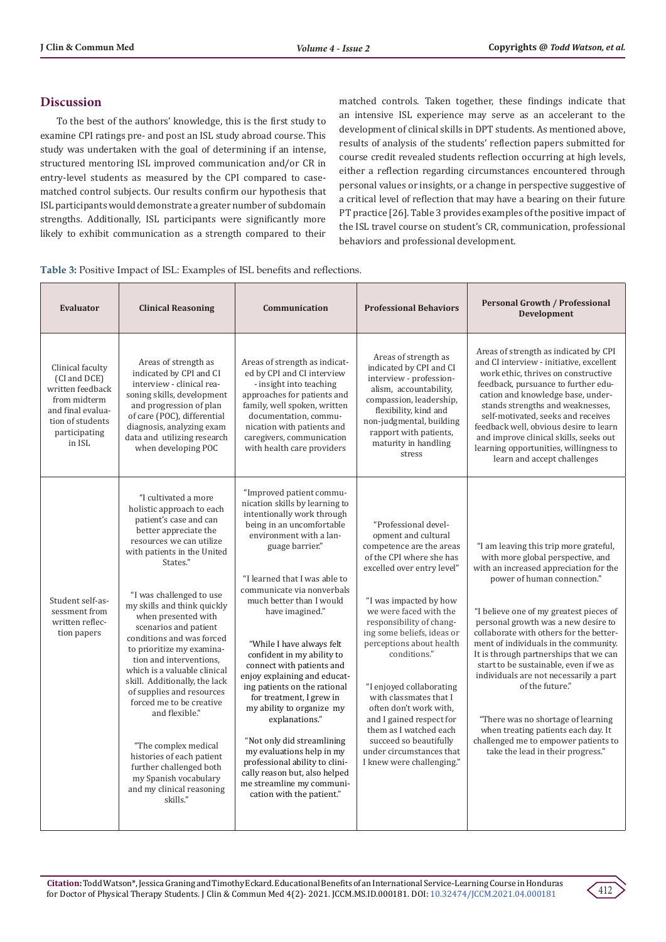# **Discussion**

To the best of the authors' knowledge, this is the first study to examine CPI ratings pre- and post an ISL study abroad course. This study was undertaken with the goal of determining if an intense, structured mentoring ISL improved communication and/or CR in entry-level students as measured by the CPI compared to casematched control subjects. Our results confirm our hypothesis that ISL participants would demonstrate a greater number of subdomain strengths. Additionally, ISL participants were significantly more likely to exhibit communication as a strength compared to their

matched controls. Taken together, these findings indicate that an intensive ISL experience may serve as an accelerant to the development of clinical skills in DPT students. As mentioned above, results of analysis of the students' reflection papers submitted for course credit revealed students reflection occurring at high levels, either a reflection regarding circumstances encountered through personal values or insights, or a change in perspective suggestive of a critical level of reflection that may have a bearing on their future PT practice [26]. Table 3 provides examples of the positive impact of the ISL travel course on student's CR, communication, professional behaviors and professional development.

**Table 3:** Positive Impact of ISL: Examples of ISL benefits and reflections.

| Evaluator                                                                                                                                | <b>Clinical Reasoning</b>                                                                                                                                                                                                                                                                                                                                                                                                                                                                                                                                                                                                                                                 | Communication                                                                                                                                                                                                                                                                                                                                                                                                                                                                                                                                                                                                                                                                                                | <b>Professional Behaviors</b>                                                                                                                                                                                                                                                                                                                                                                                                                                                                                        | <b>Personal Growth / Professional</b><br><b>Development</b>                                                                                                                                                                                                                                                                                                                                                                                                                                                                                                                                                                           |
|------------------------------------------------------------------------------------------------------------------------------------------|---------------------------------------------------------------------------------------------------------------------------------------------------------------------------------------------------------------------------------------------------------------------------------------------------------------------------------------------------------------------------------------------------------------------------------------------------------------------------------------------------------------------------------------------------------------------------------------------------------------------------------------------------------------------------|--------------------------------------------------------------------------------------------------------------------------------------------------------------------------------------------------------------------------------------------------------------------------------------------------------------------------------------------------------------------------------------------------------------------------------------------------------------------------------------------------------------------------------------------------------------------------------------------------------------------------------------------------------------------------------------------------------------|----------------------------------------------------------------------------------------------------------------------------------------------------------------------------------------------------------------------------------------------------------------------------------------------------------------------------------------------------------------------------------------------------------------------------------------------------------------------------------------------------------------------|---------------------------------------------------------------------------------------------------------------------------------------------------------------------------------------------------------------------------------------------------------------------------------------------------------------------------------------------------------------------------------------------------------------------------------------------------------------------------------------------------------------------------------------------------------------------------------------------------------------------------------------|
| Clinical faculty<br>(CI and DCE)<br>written feedback<br>from midterm<br>and final evalua-<br>tion of students<br>participating<br>in ISL | Areas of strength as<br>indicated by CPI and CI<br>interview - clinical rea-<br>soning skills, development<br>and progression of plan<br>of care (POC), differential<br>diagnosis, analyzing exam<br>data and utilizing research<br>when developing POC                                                                                                                                                                                                                                                                                                                                                                                                                   | Areas of strength as indicat-<br>ed by CPI and CI interview<br>- insight into teaching<br>approaches for patients and<br>family, well spoken, written<br>documentation, commu-<br>nication with patients and<br>caregivers, communication<br>with health care providers                                                                                                                                                                                                                                                                                                                                                                                                                                      | Areas of strength as<br>indicated by CPI and CI<br>interview - profession-<br>alism, accountability,<br>compassion, leadership,<br>flexibility, kind and<br>non-judgmental, building<br>rapport with patients,<br>maturity in handling<br>stress                                                                                                                                                                                                                                                                     | Areas of strength as indicated by CPI<br>and CI interview - initiative, excellent<br>work ethic, thrives on constructive<br>feedback, pursuance to further edu-<br>cation and knowledge base, under-<br>stands strengths and weaknesses,<br>self-motivated, seeks and receives<br>feedback well, obvious desire to learn<br>and improve clinical skills, seeks out<br>learning opportunities, willingness to<br>learn and accept challenges                                                                                                                                                                                           |
| Student self-as-<br>sessment from<br>written reflec-<br>tion papers                                                                      | "I cultivated a more<br>holistic approach to each<br>patient's case and can<br>better appreciate the<br>resources we can utilize<br>with patients in the United<br>States."<br>"I was challenged to use<br>my skills and think quickly<br>when presented with<br>scenarios and patient<br>conditions and was forced<br>to prioritize my examina-<br>tion and interventions.<br>which is a valuable clinical<br>skill. Additionally, the lack<br>of supplies and resources<br>forced me to be creative<br>and flexible."<br>"The complex medical<br>histories of each patient<br>further challenged both<br>my Spanish vocabulary<br>and my clinical reasoning<br>skills." | "Improved patient commu-<br>nication skills by learning to<br>intentionally work through<br>being in an uncomfortable<br>environment with a lan-<br>guage barrier."<br>"I learned that I was able to<br>communicate via nonverbals<br>much better than I would<br>have imagined."<br>"While I have always felt<br>confident in my ability to<br>connect with patients and<br>enjoy explaining and educat-<br>ing patients on the rational<br>for treatment, I grew in<br>my ability to organize my<br>explanations."<br>"Not only did streamlining<br>my evaluations help in my<br>professional ability to clini-<br>cally reason but, also helped<br>me streamline my communi-<br>cation with the patient." | "Professional devel-<br>opment and cultural<br>competence are the areas<br>of the CPI where she has<br>excelled over entry level"<br>"I was impacted by how<br>we were faced with the<br>responsibility of chang-<br>ing some beliefs, ideas or<br>perceptions about health<br>conditions."<br>"I enjoyed collaborating<br>with classmates that I<br>often don't work with,<br>and I gained respect for<br>them as I watched each<br>succeed so beautifully<br>under circumstances that<br>I knew were challenging." | "I am leaving this trip more grateful,<br>with more global perspective, and<br>with an increased appreciation for the<br>power of human connection."<br>"I believe one of my greatest pieces of<br>personal growth was a new desire to<br>collaborate with others for the better-<br>ment of individuals in the community.<br>It is through partnerships that we can<br>start to be sustainable, even if we as<br>individuals are not necessarily a part<br>of the future."<br>"There was no shortage of learning<br>when treating patients each day. It<br>challenged me to empower patients to<br>take the lead in their progress." |

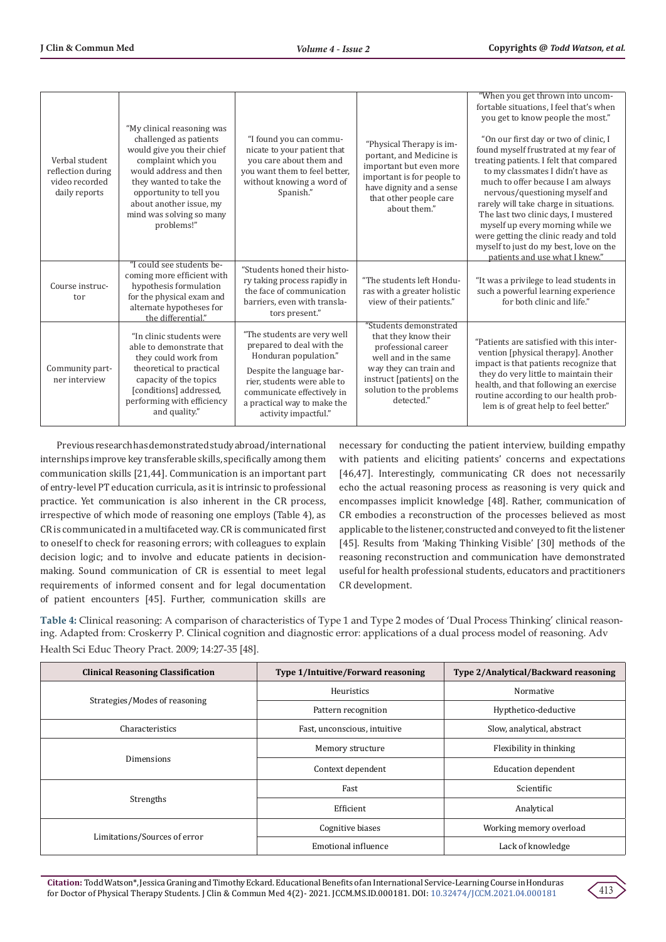| Verbal student<br>reflection during<br>video recorded<br>daily reports | "My clinical reasoning was<br>challenged as patients<br>would give you their chief<br>complaint which you<br>would address and then<br>they wanted to take the<br>opportunity to tell you<br>about another issue, my<br>mind was solving so many<br>problems!" | "I found you can commu-<br>nicate to your patient that<br>you care about them and<br>you want them to feel better,<br>without knowing a word of<br>Spanish."                                                                       | "Physical Therapy is im-<br>portant, and Medicine is<br>important but even more<br>important is for people to<br>have dignity and a sense<br>that other people care<br>about them."             | "When you get thrown into uncom-<br>fortable situations, I feel that's when<br>you get to know people the most."<br>"On our first day or two of clinic, I<br>found myself frustrated at my fear of<br>treating patients. I felt that compared<br>to my classmates I didn't have as<br>much to offer because I am always<br>nervous/questioning myself and<br>rarely will take charge in situations.<br>The last two clinic days, I mustered<br>myself up every morning while we<br>were getting the clinic ready and told<br>myself to just do my best, love on the<br>patients and use what I knew." |
|------------------------------------------------------------------------|----------------------------------------------------------------------------------------------------------------------------------------------------------------------------------------------------------------------------------------------------------------|------------------------------------------------------------------------------------------------------------------------------------------------------------------------------------------------------------------------------------|-------------------------------------------------------------------------------------------------------------------------------------------------------------------------------------------------|-------------------------------------------------------------------------------------------------------------------------------------------------------------------------------------------------------------------------------------------------------------------------------------------------------------------------------------------------------------------------------------------------------------------------------------------------------------------------------------------------------------------------------------------------------------------------------------------------------|
| Course instruc-<br>tor                                                 | "I could see students be-<br>coming more efficient with<br>hypothesis formulation<br>for the physical exam and<br>alternate hypotheses for<br>the differential."                                                                                               | "Students honed their histo-<br>ry taking process rapidly in<br>the face of communication<br>barriers, even with transla-<br>tors present."                                                                                        | "The students left Hondu-<br>ras with a greater holistic<br>view of their patients."                                                                                                            | "It was a privilege to lead students in<br>such a powerful learning experience<br>for both clinic and life."                                                                                                                                                                                                                                                                                                                                                                                                                                                                                          |
| Community part-<br>ner interview                                       | "In clinic students were<br>able to demonstrate that<br>they could work from<br>theoretical to practical<br>capacity of the topics<br>[conditions] addressed,<br>performing with efficiency<br>and quality."                                                   | "The students are very well<br>prepared to deal with the<br>Honduran population."<br>Despite the language bar-<br>rier, students were able to<br>communicate effectively in<br>a practical way to make the<br>activity impactful." | "Students demonstrated<br>that they know their<br>professional career<br>well and in the same<br>way they can train and<br>instruct [patients] on the<br>solution to the problems<br>detected." | "Patients are satisfied with this inter-<br>vention [physical therapy]. Another<br>impact is that patients recognize that<br>they do very little to maintain their<br>health, and that following an exercise<br>routine according to our health prob-<br>lem is of great help to feel better."                                                                                                                                                                                                                                                                                                        |

Previous research has demonstrated study abroad/international internships improve key transferable skills, specifically among them communication skills [21,44]. Communication is an important part of entry-level PT education curricula, as it is intrinsic to professional practice. Yet communication is also inherent in the CR process, irrespective of which mode of reasoning one employs (Table 4), as CR is communicated in a multifaceted way. CR is communicated first to oneself to check for reasoning errors; with colleagues to explain decision logic; and to involve and educate patients in decisionmaking. Sound communication of CR is essential to meet legal requirements of informed consent and for legal documentation of patient encounters [45]. Further, communication skills are

necessary for conducting the patient interview, building empathy with patients and eliciting patients' concerns and expectations [46,47]. Interestingly, communicating CR does not necessarily echo the actual reasoning process as reasoning is very quick and encompasses implicit knowledge [48]. Rather, communication of CR embodies a reconstruction of the processes believed as most applicable to the listener, constructed and conveyed to fit the listener [45]. Results from 'Making Thinking Visible' [30] methods of the reasoning reconstruction and communication have demonstrated useful for health professional students, educators and practitioners CR development.

**Table 4:** Clinical reasoning: A comparison of characteristics of Type 1 and Type 2 modes of 'Dual Process Thinking' clinical reasoning. Adapted from: Croskerry P. Clinical cognition and diagnostic error: applications of a dual process model of reasoning. Adv Health Sci Educ Theory Pract. 2009; 14:27-35 [48].

| <b>Clinical Reasoning Classification</b> | Type 1/Intuitive/Forward reasoning | Type 2/Analytical/Backward reasoning |
|------------------------------------------|------------------------------------|--------------------------------------|
| Strategies/Modes of reasoning            | Heuristics                         | Normative                            |
|                                          | Pattern recognition                | Hypthetico-deductive                 |
| Characteristics                          | Fast, unconscious, intuitive       | Slow, analytical, abstract           |
| Dimensions                               | Memory structure                   | Flexibility in thinking              |
|                                          | Context dependent                  | <b>Education dependent</b>           |
| Strengths                                | Fast                               | Scientific                           |
|                                          | Efficient                          | Analytical                           |
| Limitations/Sources of error             | Cognitive biases                   | Working memory overload              |
|                                          | Emotional influence                | Lack of knowledge                    |

**Citation:** Todd Watson\*, Jessica Graning and Timothy Eckard. Educational Benefits of an International Service-Learning Course in Honduras for Doctor of Physical Therapy Students. J Clin & Commun Med 4(2)- 2021. JCCM.MS.ID.000181. DOI: [10.32474/JCCM.2021.04.0001](http://dx.doi.org/10.32474/JCCM.2021.04.000181)81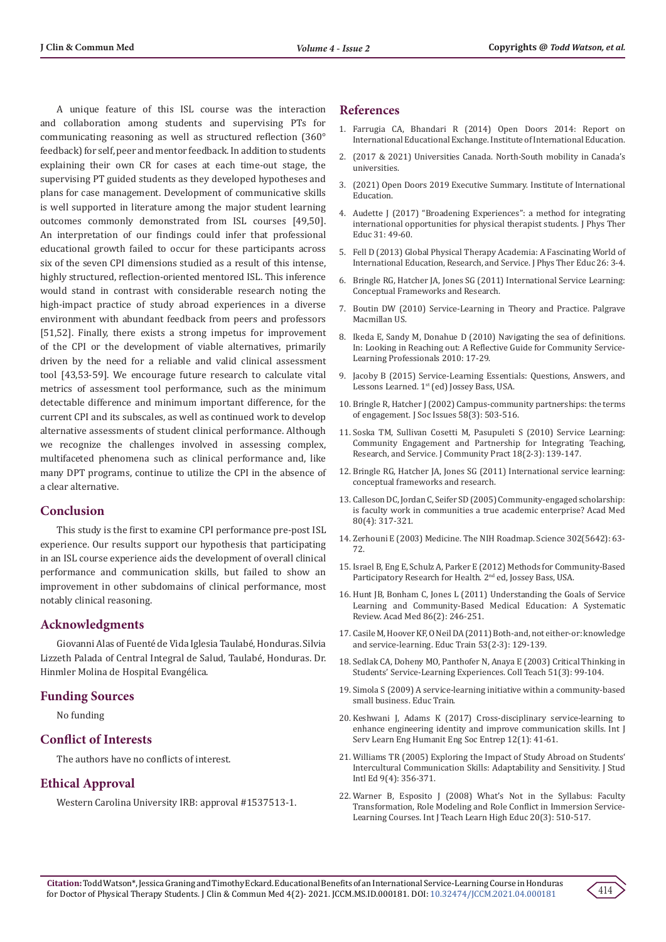A unique feature of this ISL course was the interaction and collaboration among students and supervising PTs for communicating reasoning as well as structured reflection (360° feedback) for self, peer and mentor feedback. In addition to students explaining their own CR for cases at each time-out stage, the supervising PT guided students as they developed hypotheses and plans for case management. Development of communicative skills is well supported in literature among the major student learning outcomes commonly demonstrated from ISL courses [49,50]. An interpretation of our findings could infer that professional educational growth failed to occur for these participants across six of the seven CPI dimensions studied as a result of this intense, highly structured, reflection-oriented mentored ISL. This inference would stand in contrast with considerable research noting the high-impact practice of study abroad experiences in a diverse environment with abundant feedback from peers and professors [51,52]. Finally, there exists a strong impetus for improvement of the CPI or the development of viable alternatives, primarily driven by the need for a reliable and valid clinical assessment tool [43,53-59]. We encourage future research to calculate vital metrics of assessment tool performance, such as the minimum detectable difference and minimum important difference, for the current CPI and its subscales, as well as continued work to develop alternative assessments of student clinical performance. Although we recognize the challenges involved in assessing complex, multifaceted phenomena such as clinical performance and, like many DPT programs, continue to utilize the CPI in the absence of a clear alternative.

## **Conclusion**

This study is the first to examine CPI performance pre-post ISL experience. Our results support our hypothesis that participating in an ISL course experience aids the development of overall clinical performance and communication skills, but failed to show an improvement in other subdomains of clinical performance, most notably clinical reasoning.

## **Acknowledgments**

Giovanni Alas of Fuenté de Vida Iglesia Taulabé, Honduras. Silvia Lizzeth Palada of Central Integral de Salud, Taulabé, Honduras. Dr. Hinmler Molina de Hospital Evangélica.

#### **Funding Sources**

No funding

# **Conflict of Interests**

The authors have no conflicts of interest.

# **Ethical Approval**

Western Carolina University IRB: approval #1537513-1.

## **References**

- 1. Farrugia CA, Bhandari R (2014) Open Doors 2014: Report on International Educational Exchange. Institute of International Education.
- 2. (2017 & 2021) Universities Canada. North-South mobility in Canada's universities.
- 3. (2021) Open Doors 2019 Executive Summary. Institute of International Education.
- 4. Audette J (2017) "Broadening Experiences": a method for integrating international opportunities for physical therapist students. J Phys Ther Educ 31: 49-60.
- 5. Fell D (2013) Global Physical Therapy Academia: A Fascinating World of International Education, Research, and Service. J Phys Ther Educ 26: 3-4.
- 6. Bringle RG, Hatcher JA, Jones SG (2011) International Service Learning: Conceptual Frameworks and Research.
- 7. Boutin DW (2010) Service-Learning in Theory and Practice. Palgrave Macmillan US.
- 8. Ikeda E, Sandy M, Donahue D (2010) Navigating the sea of definitions. In: Looking in Reaching out: A Reflective Guide for Community Service-Learning Professionals 2010: 17-29.
- 9. Jacoby B (2015) Service-Learning Essentials: Questions, Answers, and Lessons Learned. 1<sup>st</sup> (ed) Jossey Bass, USA.
- 10. [Bringle R, Hatcher J \(2002\) Campus-community partnerships: the terms](https://digitalcommons.unomaha.edu/cgi/viewcontent.cgi?article=1018&context=slcepartnerships) [of engagement. J Soc Issues 58\(3\): 503-516.](https://digitalcommons.unomaha.edu/cgi/viewcontent.cgi?article=1018&context=slcepartnerships)
- 11. [Soska TM, Sullivan Cosetti M, Pasupuleti S \(2010\) Service Learning:](https://www.tandfonline.com/doi/full/10.1080/10705422.2010.490176) [Community Engagement and Partnership for Integrating Teaching,](https://www.tandfonline.com/doi/full/10.1080/10705422.2010.490176) [Research, and Service. J Community Pract 18\(2-3\): 139-147.](https://www.tandfonline.com/doi/full/10.1080/10705422.2010.490176)
- 12. Bringle RG, Hatcher JA, Jones SG (2011) International service learning: conceptual frameworks and research.
- 13. [Calleson DC, Jordan C, Seifer SD \(2005\) Community-engaged scholarship:](https://pubmed.ncbi.nlm.nih.gov/15793012/) [is faculty work in communities a true academic enterprise? Acad Med](https://pubmed.ncbi.nlm.nih.gov/15793012/) [80\(4\): 317-321.](https://pubmed.ncbi.nlm.nih.gov/15793012/)
- 14. [Zerhouni E \(2003\) Medicine. The NIH Roadmap. Science 302\(5642\): 63-](https://pubmed.ncbi.nlm.nih.gov/14526066/) [72.](https://pubmed.ncbi.nlm.nih.gov/14526066/)
- 15. Israel B, Eng E, Schulz A, Parker E (2012) Methods for Community-Based Participatory Research for Health. 2nd ed, Jossey Bass, USA.
- 16. [Hunt JB, Bonham C, Jones L \(2011\) Understanding the Goals of Service](https://pubmed.ncbi.nlm.nih.gov/21169780/) [Learning and Community-Based Medical Education: A Systematic](https://pubmed.ncbi.nlm.nih.gov/21169780/) [Review. Acad Med 86\(2\): 246-251.](https://pubmed.ncbi.nlm.nih.gov/21169780/)
- 17. [Casile M, Hoover KF, O Neil DA \(2011\) Both-and, not either-or: knowledge](https://www.emerald.com/insight/content/doi/10.1108/00400911111115672/full/html) [and service-learning. Educ Train 53\(2-3\): 129-139.](https://www.emerald.com/insight/content/doi/10.1108/00400911111115672/full/html)
- 18. [Sedlak CA, Doheny MO, Panthofer N, Anaya E \(2003\) Critical Thinking in](https://www.tandfonline.com/doi/abs/10.1080/87567550309596420) [Students' Service-Learning Experiences. Coll Teach 51\(3\): 99-104.](https://www.tandfonline.com/doi/abs/10.1080/87567550309596420)
- 19. Simola S (2009) A service-learning initiative within a community-based small business. Educ Train.
- 20. [Keshwani J, Adams K \(2017\) Cross-disciplinary service-learning to](https://ojs.library.queensu.ca/index.php/ijsle/article/view/6664) [enhance engineering identity and improve communication skills. Int J](https://ojs.library.queensu.ca/index.php/ijsle/article/view/6664) [Serv Learn Eng Humanit Eng Soc Entrep 12\(1\): 41-61.](https://ojs.library.queensu.ca/index.php/ijsle/article/view/6664)
- 21. [Williams TR \(2005\) Exploring the Impact of Study Abroad on Students'](https://citeseerx.ist.psu.edu/viewdoc/download?doi=10.1.1.1004.2147&rep=rep1&type=pdf) [Intercultural Communication Skills: Adaptability and Sensitivity. J Stud](https://citeseerx.ist.psu.edu/viewdoc/download?doi=10.1.1.1004.2147&rep=rep1&type=pdf) [Intl Ed 9\(4\): 356-371.](https://citeseerx.ist.psu.edu/viewdoc/download?doi=10.1.1.1004.2147&rep=rep1&type=pdf)
- 22. [Warner B, Esposito J \(2008\) What's Not in the Syllabus: Faculty](https://files.eric.ed.gov/fulltext/EJ869335.pdf) [Transformation, Role Modeling and Role Conflict in Immersion Service-](https://files.eric.ed.gov/fulltext/EJ869335.pdf)[Learning Courses. Int J Teach Learn High Educ 20\(3\): 510-517.](https://files.eric.ed.gov/fulltext/EJ869335.pdf)

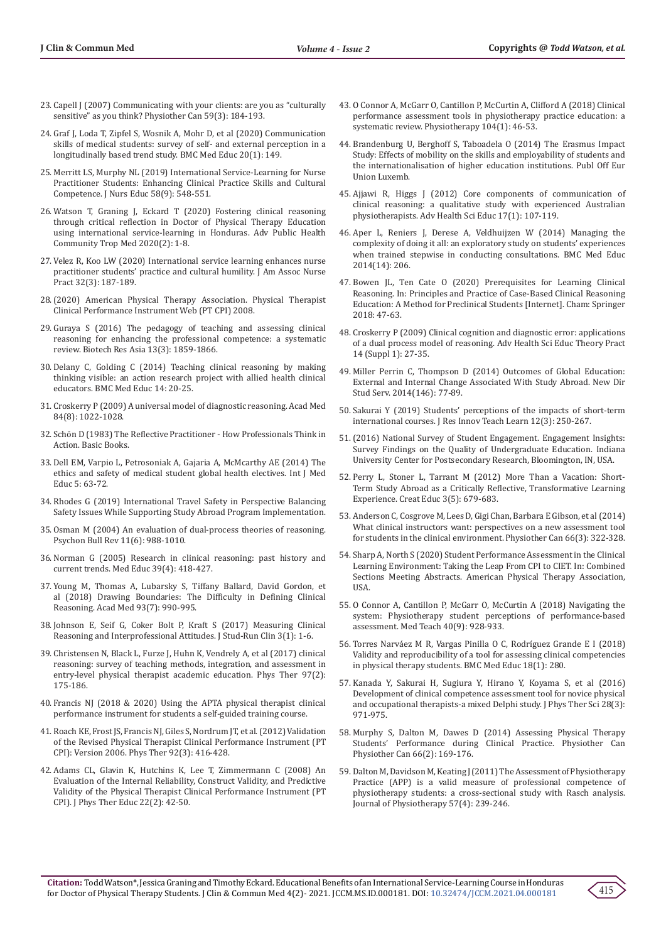- 23. [Capell J \(2007\) Communicating with your clients: are you as "culturally](https://www.utpjournals.press/doi/epdf/10.3138/ptc.59.3.184)  [sensitive" as you think? Physiother Can 59\(3\): 184-193.](https://www.utpjournals.press/doi/epdf/10.3138/ptc.59.3.184)
- 24. [Graf J, Loda T, Zipfel S, Wosnik A, Mohr D, et al \(2020\) Communication](https://bmcmededuc.biomedcentral.com/articles/10.1186/s12909-020-02049-w)  [skills of medical students: survey of self- and external perception in a](https://bmcmededuc.biomedcentral.com/articles/10.1186/s12909-020-02049-w)  [longitudinally based trend study. BMC Med Educ 20\(1\): 149.](https://bmcmededuc.biomedcentral.com/articles/10.1186/s12909-020-02049-w)
- 25. [Merritt LS, Murphy NL \(2019\) International Service-Learning for Nurse](https://pubmed.ncbi.nlm.nih.gov/31461525/)  [Practitioner Students: Enhancing Clinical Practice Skills and Cultural](https://pubmed.ncbi.nlm.nih.gov/31461525/)  [Competence. J Nurs Educ 58\(9\): 548-551.](https://pubmed.ncbi.nlm.nih.gov/31461525/)
- 26. [Watson T, Graning J, Eckard T \(2020\) Fostering clinical reasoning](https://kosmospublishers.com/wp-content/uploads/2020/09/Fostering-Clinical-Reasoning-through-Critical-Reflection-in-Doctor-of-Physical-Therapy-Education-Using-International-Service-Learning-in-Hondura.pdf)  [through critical reflection in Doctor of Physical Therapy Education](https://kosmospublishers.com/wp-content/uploads/2020/09/Fostering-Clinical-Reasoning-through-Critical-Reflection-in-Doctor-of-Physical-Therapy-Education-Using-International-Service-Learning-in-Hondura.pdf)  [using international service-learning in Honduras. Adv Public Health](https://kosmospublishers.com/wp-content/uploads/2020/09/Fostering-Clinical-Reasoning-through-Critical-Reflection-in-Doctor-of-Physical-Therapy-Education-Using-International-Service-Learning-in-Hondura.pdf)  [Community Trop Med 2020\(2\): 1-8.](https://kosmospublishers.com/wp-content/uploads/2020/09/Fostering-Clinical-Reasoning-through-Critical-Reflection-in-Doctor-of-Physical-Therapy-Education-Using-International-Service-Learning-in-Hondura.pdf)
- 27. [Velez R, Koo LW \(2020\) International service learning enhances nurse](https://pubmed.ncbi.nlm.nih.gov/32132455/)  [practitioner students' practice and cultural humility. J Am Assoc Nurse](https://pubmed.ncbi.nlm.nih.gov/32132455/)  [Pract 32\(3\): 187-189.](https://pubmed.ncbi.nlm.nih.gov/32132455/)
- 28.(2020) American Physical Therapy Association. Physical Therapist Clinical Performance Instrument Web (PT CPI) 2008.
- 29. [Guraya S \(2016\) The pedagogy of teaching and assessing clinical](http://www.biotech-asia.org/vol13no3/the-pedagogy-of-teaching-and-assessing-clinical-reasoning-for-enhancing-the-professional-competence-a-systematic-review/)  [reasoning for enhancing the professional competence: a systematic](http://www.biotech-asia.org/vol13no3/the-pedagogy-of-teaching-and-assessing-clinical-reasoning-for-enhancing-the-professional-competence-a-systematic-review/)  [review. Biotech Res Asia 13\(3\): 1859-1866.](http://www.biotech-asia.org/vol13no3/the-pedagogy-of-teaching-and-assessing-clinical-reasoning-for-enhancing-the-professional-competence-a-systematic-review/)
- 30. [Delany C, Golding C \(2014\) Teaching clinical reasoning by making](https://pubmed.ncbi.nlm.nih.gov/24479414/)  [thinking visible: an action research project with allied health clinical](https://pubmed.ncbi.nlm.nih.gov/24479414/)  [educators. BMC Med Educ 14: 20-25.](https://pubmed.ncbi.nlm.nih.gov/24479414/)
- 31. [Croskerry P \(2009\) A universal model of diagnostic reasoning. Acad Med](https://pubmed.ncbi.nlm.nih.gov/19638766/)  [84\(8\): 1022-1028.](https://pubmed.ncbi.nlm.nih.gov/19638766/)
- 32. Schön D (1983) The Reflective Practitioner How Professionals Think in Action. Basic Books.
- 33. [Dell EM, Varpio L, Petrosoniak A, Gajaria A, McMcarthy AE \(2014\) The](https://pubmed.ncbi.nlm.nih.gov/25341214/)  [ethics and safety of medical student global health electives. Int J Med](https://pubmed.ncbi.nlm.nih.gov/25341214/)  [Educ 5: 63-72.](https://pubmed.ncbi.nlm.nih.gov/25341214/)
- 34. Rhodes G (2019) International Travel Safety in Perspective Balancing Safety Issues While Supporting Study Abroad Program Implementation.
- 35. [Osman M \(2004\) An evaluation of dual-process theories of reasoning.](https://pubmed.ncbi.nlm.nih.gov/15875969/)  [Psychon Bull Rev 11\(6\): 988-1010.](https://pubmed.ncbi.nlm.nih.gov/15875969/)
- 36. [Norman G \(2005\) Research in clinical reasoning: past history and](https://pubmed.ncbi.nlm.nih.gov/15813765/)  [current trends. Med Educ 39\(4\): 418-427.](https://pubmed.ncbi.nlm.nih.gov/15813765/)
- 37. [Young M, Thomas A, Lubarsky S, Tiffany Ballard, David Gordon, et](https://pubmed.ncbi.nlm.nih.gov/29369086/)  [al \(2018\) Drawing Boundaries: The Difficulty in Defining Clinical](https://pubmed.ncbi.nlm.nih.gov/29369086/)  [Reasoning. Acad Med 93\(7\): 990-995.](https://pubmed.ncbi.nlm.nih.gov/29369086/)
- 38. [Johnson E, Seif G, Coker Bolt P, Kraft S \(2017\) Measuring Clinical](https://journalsrc.org/index.php/jsrc/article/view/24/24)  [Reasoning and Interprofessional Attitudes. J Stud-Run Clin 3\(1\): 1-6.](https://journalsrc.org/index.php/jsrc/article/view/24/24)
- 39. [Christensen N, Black L, Furze J, Huhn K, Vendrely A, et al \(2017\) clinical](https://pubmed.ncbi.nlm.nih.gov/27609900/)  [reasoning: survey of teaching methods, integration, and assessment in](https://pubmed.ncbi.nlm.nih.gov/27609900/)  [entry-level physical therapist academic education. Phys Ther 97\(2\):](https://pubmed.ncbi.nlm.nih.gov/27609900/)  [175-186.](https://pubmed.ncbi.nlm.nih.gov/27609900/)
- 40. Francis NJ (2018 & 2020) Using the APTA physical therapist clinical performance instrument for students a self-guided training course.
- 41. [Roach KE, Frost JS, Francis NJ, Giles S, Nordrum JT, et al. \(2012\) Validation](https://pubmed.ncbi.nlm.nih.gov/22135710/)  [of the Revised Physical Therapist Clinical Performance Instrument \(PT](https://pubmed.ncbi.nlm.nih.gov/22135710/)  [CPI\): Version 2006. Phys Ther 92\(3\): 416-428.](https://pubmed.ncbi.nlm.nih.gov/22135710/)
- 42. [Adams CL, Glavin K, Hutchins K, Lee T, Zimmermann C \(2008\) An](https://www.proquest.com/docview/853889926?pq-origsite=gscholar&fromopenview=true)  [Evaluation of the Internal Reliability, Construct Validity, and Predictive](https://www.proquest.com/docview/853889926?pq-origsite=gscholar&fromopenview=true)  [Validity of the Physical Therapist Clinical Performance Instrument \(PT](https://www.proquest.com/docview/853889926?pq-origsite=gscholar&fromopenview=true)  [CPI\). J Phys Ther Educ 22\(2\): 42-50.](https://www.proquest.com/docview/853889926?pq-origsite=gscholar&fromopenview=true)
- 43. [O Connor A, McGarr O, Cantillon P, McCurtin A, Clifford A \(2018\) Clinical](https://pubmed.ncbi.nlm.nih.gov/28844474/) [performance assessment tools in physiotherapy practice education: a](https://pubmed.ncbi.nlm.nih.gov/28844474/) [systematic review. Physiotherapy 104\(1\): 46-53.](https://pubmed.ncbi.nlm.nih.gov/28844474/)
- 44. Brandenburg U, Berghoff S, Taboadela O (2014) The Erasmus Impact Study: Effects of mobility on the skills and employability of students and the internationalisation of higher education institutions. Publ Off Eur Union Luxemb.
- 45. [Ajjawi R, Higgs J \(2012\) Core components of communication of](https://pubmed.ncbi.nlm.nih.gov/21638086/) [clinical reasoning: a qualitative study with experienced Australian](https://pubmed.ncbi.nlm.nih.gov/21638086/) [physiotherapists. Adv Health Sci Educ 17\(1\): 107-119.](https://pubmed.ncbi.nlm.nih.gov/21638086/)
- 46. Aper L, Reniers J, Derese A, Veldhuijzen W (2014) Managing the complexity of doing it all: an exploratory study on students' experiences when trained stepwise in conducting consultations. BMC Med Educ 2014(14): 206.
- 47. Bowen JL, Ten Cate O (2020) Prerequisites for Learning Clinical Reasoning. In: Principles and Practice of Case-Based Clinical Reasoning Education: A Method for Preclinical Students [Internet]. Cham: Springer 2018: 47-63.
- 48. [Croskerry P \(2009\) Clinical cognition and diagnostic error: applications](https://pubmed.ncbi.nlm.nih.gov/19669918/) [of a dual process model of reasoning. Adv Health Sci Educ Theory Pract](https://pubmed.ncbi.nlm.nih.gov/19669918/) [14 \(Suppl 1\): 27-35.](https://pubmed.ncbi.nlm.nih.gov/19669918/)
- 49. [Miller Perrin C, Thompson D \(2014\) Outcomes of Global Education:](https://onlinelibrary.wiley.com/doi/abs/10.1002/ss.20093) [External and Internal Change Associated With Study Abroad. New Dir](https://onlinelibrary.wiley.com/doi/abs/10.1002/ss.20093) [Stud Serv. 2014\(146\): 77-89.](https://onlinelibrary.wiley.com/doi/abs/10.1002/ss.20093)
- 50. [Sakurai Y \(2019\) Students' perceptions of the impacts of short-term](https://www.emerald.com/insight/content/doi/10.1108/JRIT-10-2017-0026/full/pdf?title=students-perceptions-of-the-impacts-of-short-term-international-courses) [international courses. J Res Innov Teach Learn 12\(3\): 250-267.](https://www.emerald.com/insight/content/doi/10.1108/JRIT-10-2017-0026/full/pdf?title=students-perceptions-of-the-impacts-of-short-term-international-courses)
- 51.(2016) National Survey of Student Engagement. Engagement Insights: Survey Findings on the Quality of Undergraduate Education. Indiana University Center for Postsecondary Research, Bloomington, IN, USA.
- 52. [Perry L, Stoner L, Tarrant M \(2012\) More Than a Vacation: Short-](https://www.scirp.org/pdf/CE20120500014_92360488.pdf)[Term Study Abroad as a Critically Reflective, Transformative Learning](https://www.scirp.org/pdf/CE20120500014_92360488.pdf) [Experience. Creat Educ 3\(5\): 679-683.](https://www.scirp.org/pdf/CE20120500014_92360488.pdf)
- 53. [Anderson C, Cosgrove M, Lees D, Gigi Chan, Barbara E Gibson, et al \(2014\)](https://pubmed.ncbi.nlm.nih.gov/25125788/) [What clinical instructors want: perspectives on a new assessment tool](https://pubmed.ncbi.nlm.nih.gov/25125788/) [for students in the clinical environment. Physiother Can 66\(3\): 322-328.](https://pubmed.ncbi.nlm.nih.gov/25125788/)
- 54. Sharp A, North S (2020) Student Performance Assessment in the Clinical Learning Environment: Taking the Leap From CPI to CIET. In: Combined Sections Meeting Abstracts. American Physical Therapy Association, **IISA**
- 55. [O Connor A, Cantillon P, McGarr O, McCurtin A \(2018\) Navigating the](https://pubmed.ncbi.nlm.nih.gov/29256736/) [system: Physiotherapy student perceptions of performance-based](https://pubmed.ncbi.nlm.nih.gov/29256736/) [assessment. Med Teach 40\(9\): 928-933.](https://pubmed.ncbi.nlm.nih.gov/29256736/)
- 56. [Torres Narváez M R, Vargas Pinilla O C, Rodríguez Grande E I \(2018\)](https://pubmed.ncbi.nlm.nih.gov/30470221/) [Validity and reproducibility of a tool for assessing clinical competencies](https://pubmed.ncbi.nlm.nih.gov/30470221/) [in physical therapy students. BMC Med Educ 18\(1\): 280.](https://pubmed.ncbi.nlm.nih.gov/30470221/)
- 57. [Kanada Y, Sakurai H, Sugiura Y, Hirano Y, Koyama S, et al \(2016\)](https://pubmed.ncbi.nlm.nih.gov/27134395/) [Development of clinical competence assessment tool for novice physical](https://pubmed.ncbi.nlm.nih.gov/27134395/) [and occupational therapists-a mixed Delphi study. J Phys Ther Sci 28\(3\):](https://pubmed.ncbi.nlm.nih.gov/27134395/) [971-975.](https://pubmed.ncbi.nlm.nih.gov/27134395/)
- 58. [Murphy S, Dalton M, Dawes D \(2014\) Assessing Physical Therapy](https://pubmed.ncbi.nlm.nih.gov/24799754/) [Students' Performance during Clinical Practice. Physiother Can](https://pubmed.ncbi.nlm.nih.gov/24799754/) [Physiother Can 66\(2\): 169-176.](https://pubmed.ncbi.nlm.nih.gov/24799754/)
- 59. [Dalton M, Davidson M, Keating J \(2011\) The Assessment of Physiotherapy](https://europepmc.org/article/med/22093122) [Practice \(APP\) is a valid measure of professional competence of](https://europepmc.org/article/med/22093122) [physiotherapy students: a cross-sectional study with Rasch analysis.](https://europepmc.org/article/med/22093122) [Journal of Physiotherapy 57\(4\): 239-246.](https://europepmc.org/article/med/22093122)